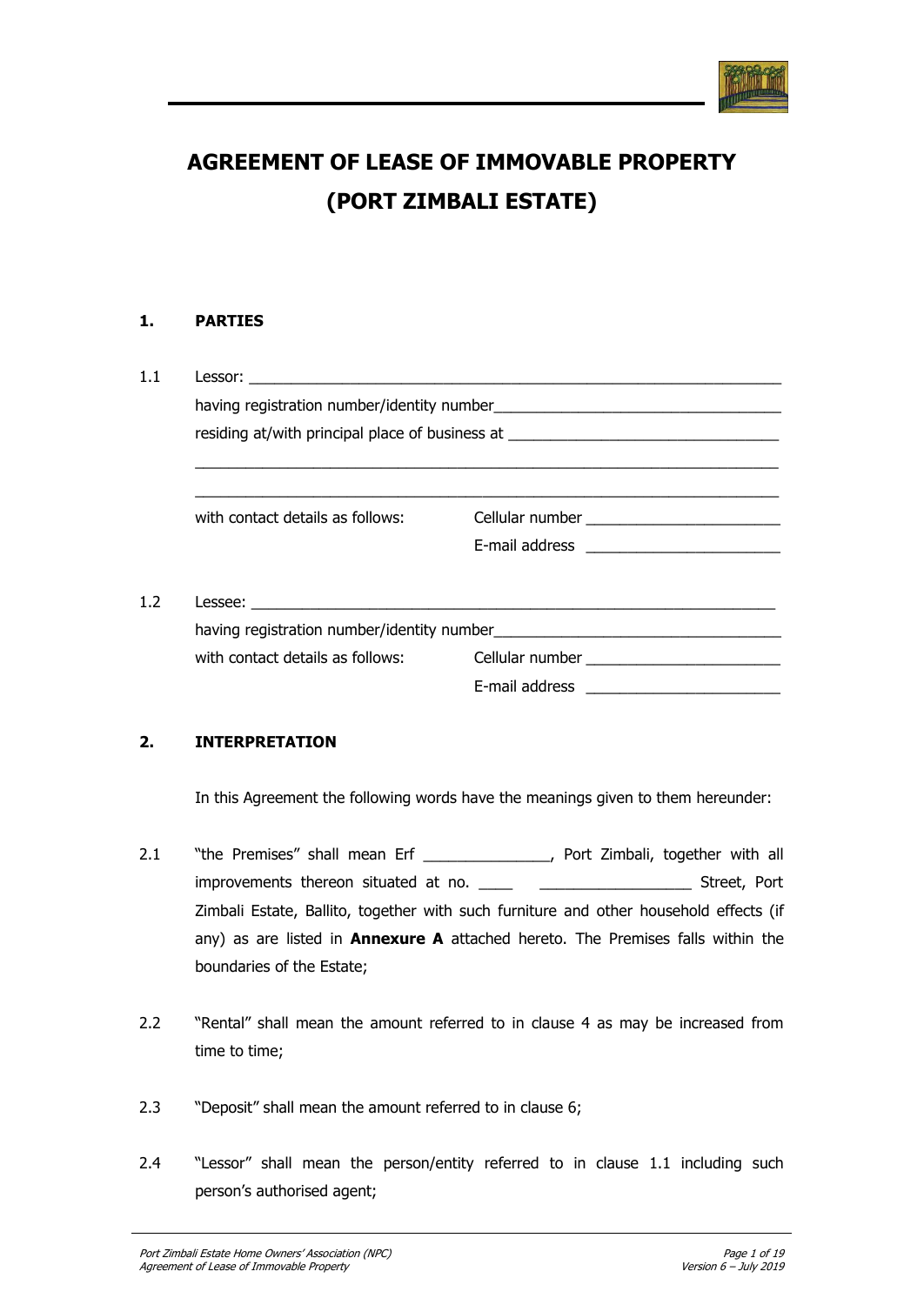

# **AGREEMENT OF LEASE OF IMMOVABLE PROPERTY (PORT ZIMBALI ESTATE)**

# **1. PARTIES**

| with contact details as follows: | Cellular number ____________________________                                     |  |
|----------------------------------|----------------------------------------------------------------------------------|--|
|                                  |                                                                                  |  |
|                                  |                                                                                  |  |
|                                  |                                                                                  |  |
|                                  |                                                                                  |  |
|                                  | with contact details as follows: Cellular number _______________________________ |  |
|                                  |                                                                                  |  |
|                                  |                                                                                  |  |

# **2. INTERPRETATION**

In this Agreement the following words have the meanings given to them hereunder:

- 2.1 "the Premises" shall mean Erf \_\_\_\_\_\_\_\_\_\_\_\_\_\_, Port Zimbali, together with all improvements thereon situated at no. \_\_\_\_ \_\_\_\_\_\_\_\_\_\_\_\_\_\_\_\_\_\_\_\_\_\_\_\_\_\_\_\_\_ Street, Port Zimbali Estate, Ballito, together with such furniture and other household effects (if any) as are listed in **Annexure A** attached hereto. The Premises falls within the boundaries of the Estate;
- 2.2 "Rental" shall mean the amount referred to in clause 4 as may be increased from time to time;
- 2.3 "Deposit" shall mean the amount referred to in clause 6;
- 2.4 "Lessor" shall mean the person/entity referred to in clause 1.1 including such person's authorised agent;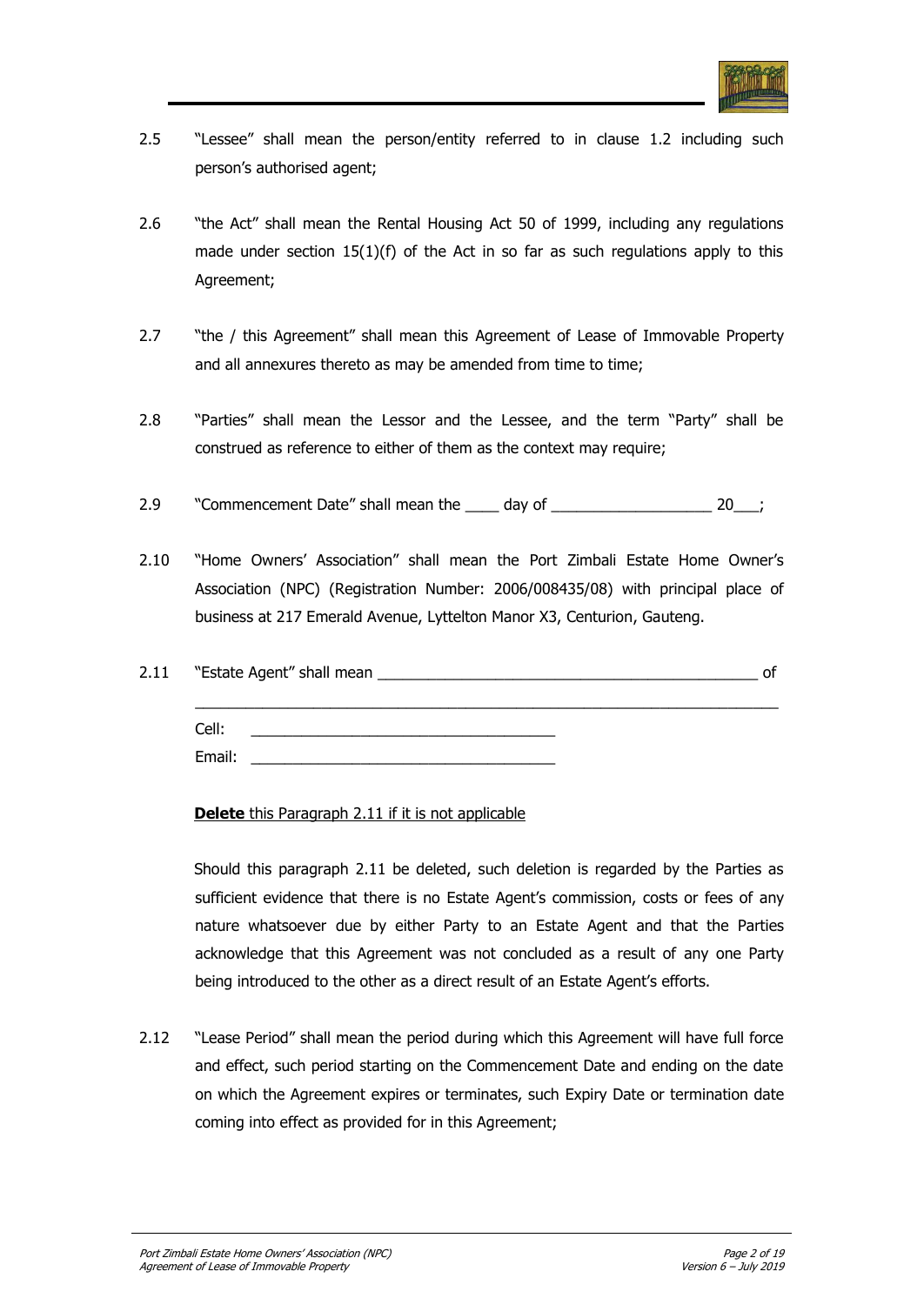

- 2.5 "Lessee" shall mean the person/entity referred to in clause 1.2 including such person"s authorised agent;
- 2.6 "the Act" shall mean the Rental Housing Act 50 of 1999, including any regulations made under section 15(1)(f) of the Act in so far as such regulations apply to this Agreement;
- 2.7 "the / this Agreement" shall mean this Agreement of Lease of Immovable Property and all annexures thereto as may be amended from time to time;
- 2.8 "Parties" shall mean the Lessor and the Lessee, and the term "Party" shall be construed as reference to either of them as the context may require;
- 2.9 "Commencement Date" shall mean the day of  $20$ ;
- 2.10 "Home Owners' Association" shall mean the Port Zimbali Estate Home Owner's Association (NPC) (Registration Number: 2006/008435/08) with principal place of business at 217 Emerald Avenue, Lyttelton Manor X3, Centurion, Gauteng.

| 2.11 |        | "Estate Agent" shall mean _________ | ΩT |
|------|--------|-------------------------------------|----|
|      | Cell:  |                                     |    |
|      | Email: |                                     |    |

**Delete** this Paragraph 2.11 if it is not applicable

Should this paragraph 2.11 be deleted, such deletion is regarded by the Parties as sufficient evidence that there is no Estate Agent"s commission, costs or fees of any nature whatsoever due by either Party to an Estate Agent and that the Parties acknowledge that this Agreement was not concluded as a result of any one Party being introduced to the other as a direct result of an Estate Agent's efforts.

2.12 "Lease Period" shall mean the period during which this Agreement will have full force and effect, such period starting on the Commencement Date and ending on the date on which the Agreement expires or terminates, such Expiry Date or termination date coming into effect as provided for in this Agreement;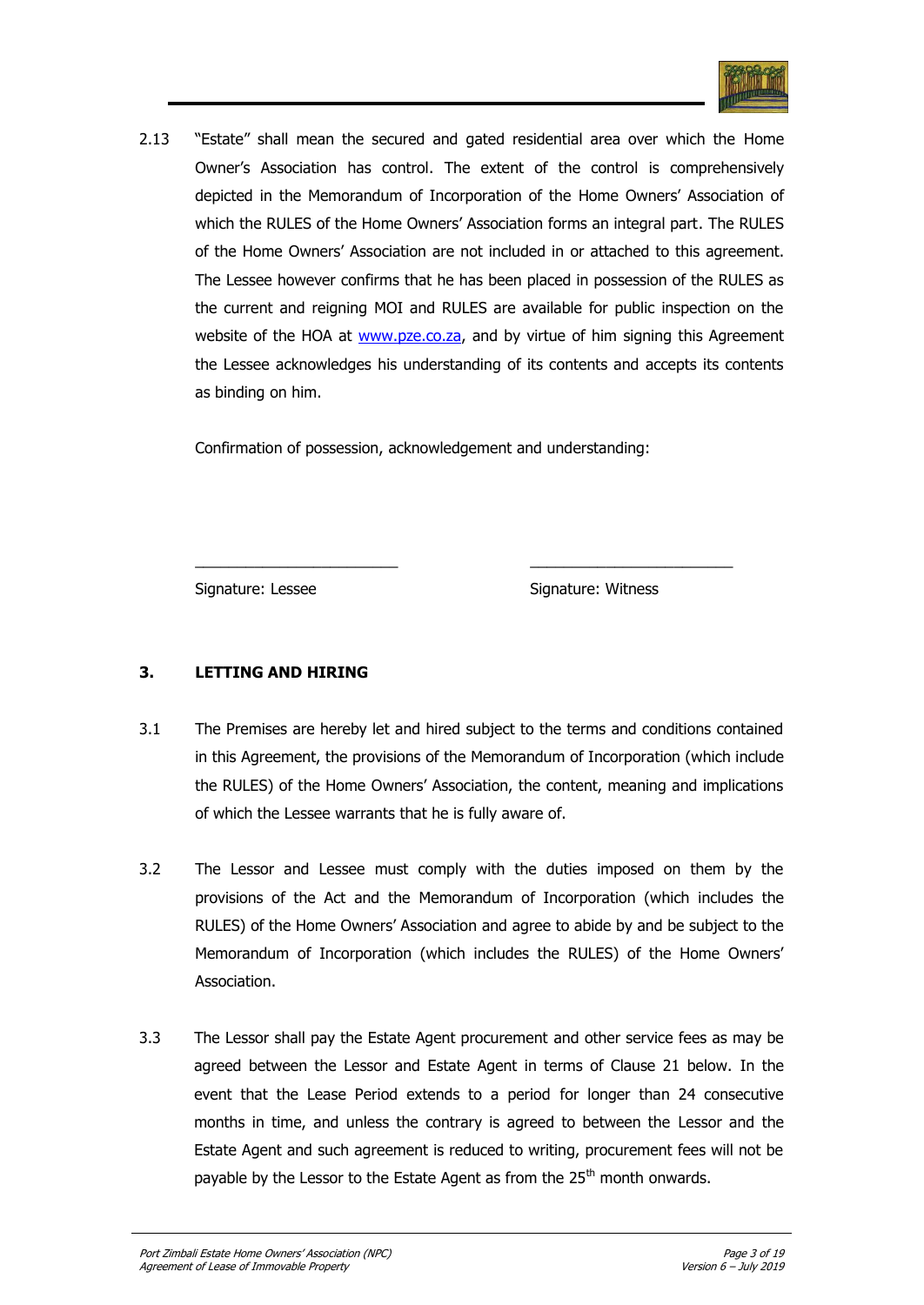

2.13 "Estate" shall mean the secured and gated residential area over which the Home Owner"s Association has control. The extent of the control is comprehensively depicted in the Memorandum of Incorporation of the Home Owners" Association of which the RULES of the Home Owners" Association forms an integral part. The RULES of the Home Owners" Association are not included in or attached to this agreement. The Lessee however confirms that he has been placed in possession of the RULES as the current and reigning MOI and RULES are available for public inspection on the website of the HOA at [www.pze.co.za,](http://www.pze.co.za/) and by virtue of him signing this Agreement the Lessee acknowledges his understanding of its contents and accepts its contents as binding on him.

Confirmation of possession, acknowledgement and understanding:

Signature: Lessee Signature: Witness

# **3. LETTING AND HIRING**

3.1 The Premises are hereby let and hired subject to the terms and conditions contained in this Agreement, the provisions of the Memorandum of Incorporation (which include the RULES) of the Home Owners" Association, the content, meaning and implications of which the Lessee warrants that he is fully aware of.

\_\_\_\_\_\_\_\_\_\_\_\_\_\_\_\_\_\_\_\_\_\_\_\_ \_\_\_\_\_\_\_\_\_\_\_\_\_\_\_\_\_\_\_\_\_\_\_\_

- 3.2 The Lessor and Lessee must comply with the duties imposed on them by the provisions of the Act and the Memorandum of Incorporation (which includes the RULES) of the Home Owners" Association and agree to abide by and be subject to the Memorandum of Incorporation (which includes the RULES) of the Home Owners" Association.
- 3.3 The Lessor shall pay the Estate Agent procurement and other service fees as may be agreed between the Lessor and Estate Agent in terms of Clause 21 below. In the event that the Lease Period extends to a period for longer than 24 consecutive months in time, and unless the contrary is agreed to between the Lessor and the Estate Agent and such agreement is reduced to writing, procurement fees will not be payable by the Lessor to the Estate Agent as from the 25<sup>th</sup> month onwards.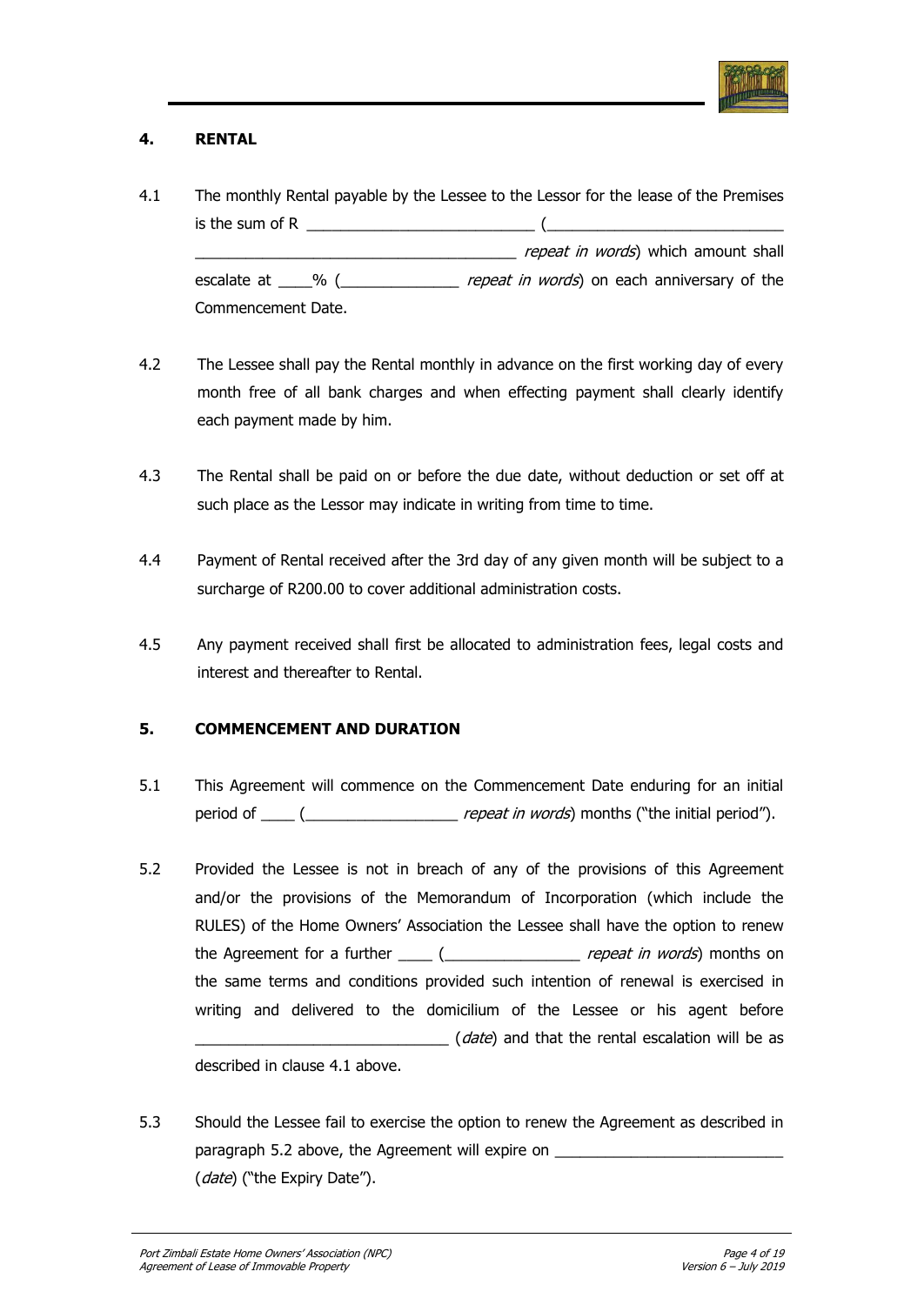

# **4. RENTAL**

- 4.1 The monthly Rental payable by the Lessee to the Lessor for the lease of the Premises is the sum of R  $\qquad \qquad$ repeat in words) which amount shall escalate at \_\_\_\_% (\_\_\_\_\_\_\_\_\_\_\_\_\_\_ repeat in words) on each anniversary of the Commencement Date.
- 4.2 The Lessee shall pay the Rental monthly in advance on the first working day of every month free of all bank charges and when effecting payment shall clearly identify each payment made by him.
- 4.3 The Rental shall be paid on or before the due date, without deduction or set off at such place as the Lessor may indicate in writing from time to time.
- 4.4 Payment of Rental received after the 3rd day of any given month will be subject to a surcharge of R200.00 to cover additional administration costs.
- 4.5 Any payment received shall first be allocated to administration fees, legal costs and interest and thereafter to Rental.

# **5. COMMENCEMENT AND DURATION**

- 5.1 This Agreement will commence on the Commencement Date enduring for an initial period of \_\_\_\_ (\_\_\_\_\_\_\_\_\_\_\_\_\_\_\_\_\_\_ repeat in words) months ("the initial period").
- 5.2 Provided the Lessee is not in breach of any of the provisions of this Agreement and/or the provisions of the Memorandum of Incorporation (which include the RULES) of the Home Owners" Association the Lessee shall have the option to renew the Agreement for a further  $\frac{1}{\sqrt{2}}$  ( $\frac{1}{\sqrt{2}}$  repeat in words) months on the same terms and conditions provided such intention of renewal is exercised in writing and delivered to the domicilium of the Lessee or his agent before (*date*) and that the rental escalation will be as described in clause 4.1 above.
- 5.3 Should the Lessee fail to exercise the option to renew the Agreement as described in paragraph 5.2 above, the Agreement will expire on \_\_\_\_\_\_\_\_\_\_\_\_\_\_\_\_\_\_\_\_\_\_\_\_\_\_\_\_\_\_ (date) ("the Expiry Date").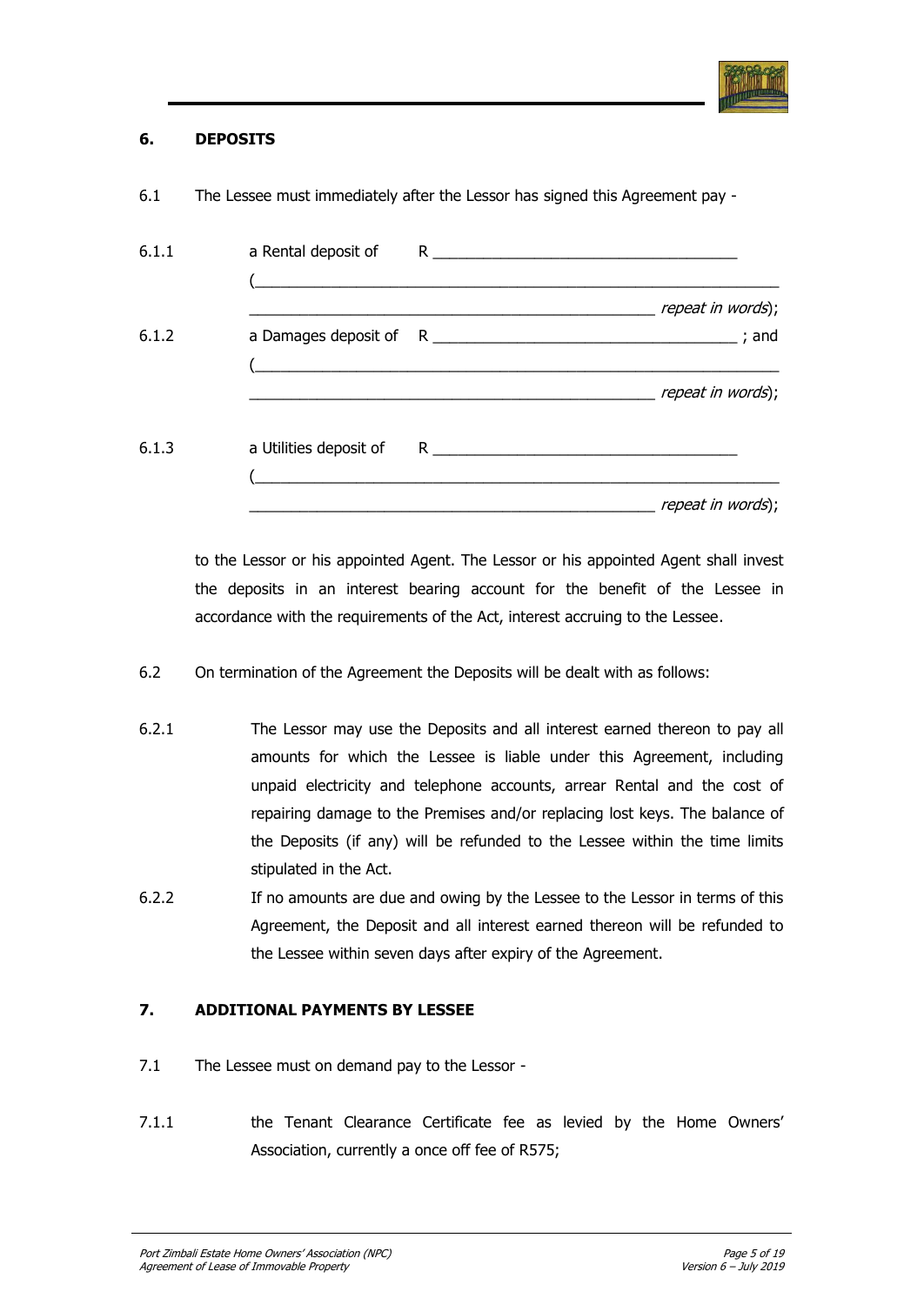

## **6. DEPOSITS**

| 6.1.1 |  |                   |
|-------|--|-------------------|
| 6.1.2 |  | repeat in words); |
|       |  | repeat in words); |
| 6.1.3 |  |                   |
|       |  | repeat in words); |

6.1 The Lessee must immediately after the Lessor has signed this Agreement pay -

to the Lessor or his appointed Agent. The Lessor or his appointed Agent shall invest the deposits in an interest bearing account for the benefit of the Lessee in accordance with the requirements of the Act, interest accruing to the Lessee.

- 6.2 On termination of the Agreement the Deposits will be dealt with as follows:
- 6.2.1 The Lessor may use the Deposits and all interest earned thereon to pay all amounts for which the Lessee is liable under this Agreement, including unpaid electricity and telephone accounts, arrear Rental and the cost of repairing damage to the Premises and/or replacing lost keys. The balance of the Deposits (if any) will be refunded to the Lessee within the time limits stipulated in the Act.
- 6.2.2 If no amounts are due and owing by the Lessee to the Lessor in terms of this Agreement, the Deposit and all interest earned thereon will be refunded to the Lessee within seven days after expiry of the Agreement.

# **7. ADDITIONAL PAYMENTS BY LESSEE**

- 7.1 The Lessee must on demand pay to the Lessor -
- 7.1.1 the Tenant Clearance Certificate fee as levied by the Home Owners' Association, currently a once off fee of R575;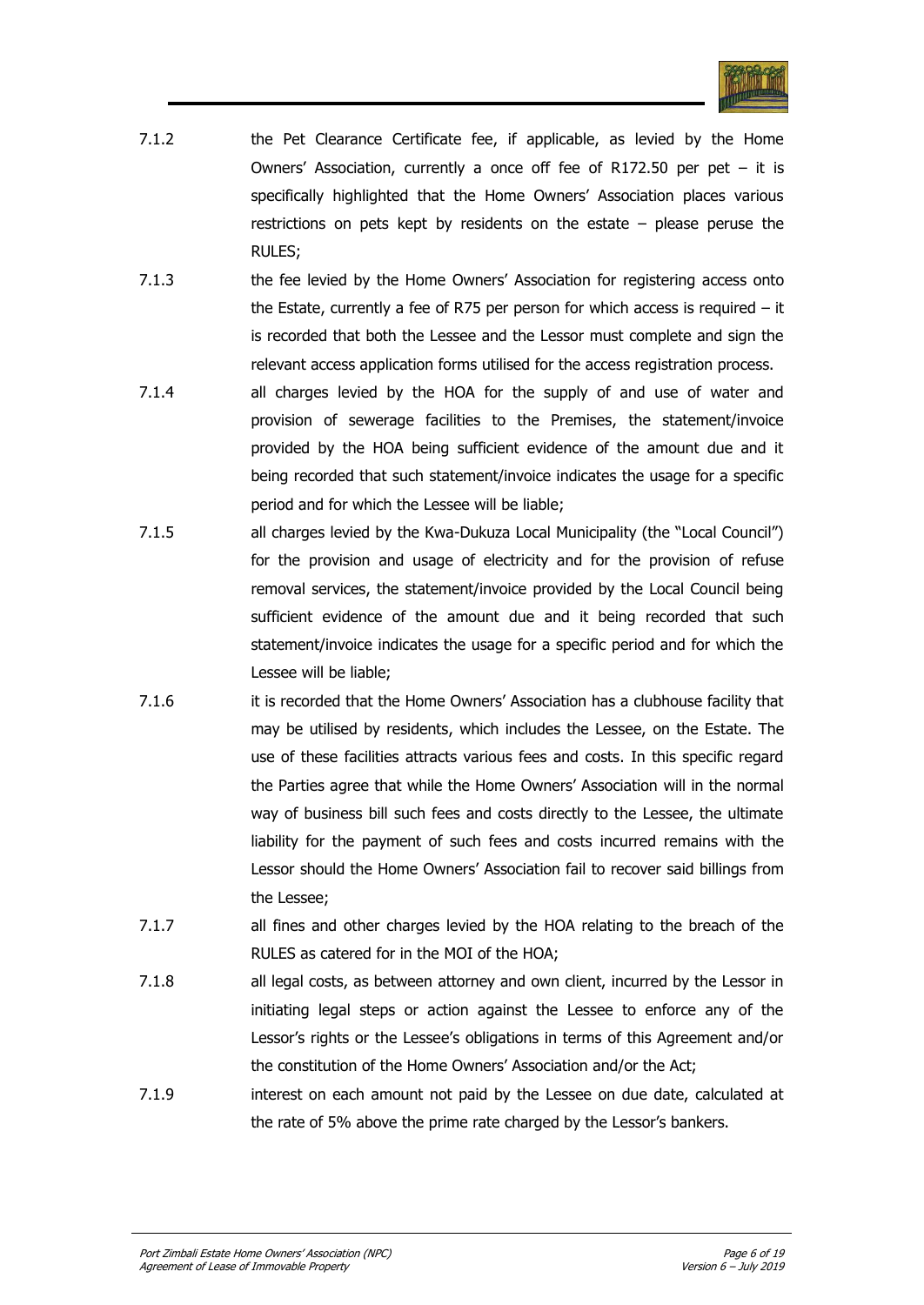

- 7.1.2 the Pet Clearance Certificate fee, if applicable, as levied by the Home Owners' Association, currently a once off fee of R172.50 per pet  $-$  it is specifically highlighted that the Home Owners' Association places various restrictions on pets kept by residents on the estate – please peruse the RULES;
- 7.1.3 the fee levied by the Home Owners' Association for registering access onto the Estate, currently a fee of R75 per person for which access is required – it is recorded that both the Lessee and the Lessor must complete and sign the relevant access application forms utilised for the access registration process.
- 7.1.4 all charges levied by the HOA for the supply of and use of water and provision of sewerage facilities to the Premises, the statement/invoice provided by the HOA being sufficient evidence of the amount due and it being recorded that such statement/invoice indicates the usage for a specific period and for which the Lessee will be liable;
- 7.1.5 all charges levied by the Kwa-Dukuza Local Municipality (the "Local Council") for the provision and usage of electricity and for the provision of refuse removal services, the statement/invoice provided by the Local Council being sufficient evidence of the amount due and it being recorded that such statement/invoice indicates the usage for a specific period and for which the Lessee will be liable;
- 7.1.6 it is recorded that the Home Owners" Association has a clubhouse facility that may be utilised by residents, which includes the Lessee, on the Estate. The use of these facilities attracts various fees and costs. In this specific regard the Parties agree that while the Home Owners" Association will in the normal way of business bill such fees and costs directly to the Lessee, the ultimate liability for the payment of such fees and costs incurred remains with the Lessor should the Home Owners" Association fail to recover said billings from the Lessee;
- 7.1.7 all fines and other charges levied by the HOA relating to the breach of the RULES as catered for in the MOI of the HOA;
- 7.1.8 all legal costs, as between attorney and own client, incurred by the Lessor in initiating legal steps or action against the Lessee to enforce any of the Lessor's rights or the Lessee's obligations in terms of this Agreement and/or the constitution of the Home Owners" Association and/or the Act;
- 7.1.9 interest on each amount not paid by the Lessee on due date, calculated at the rate of 5% above the prime rate charged by the Lessor"s bankers.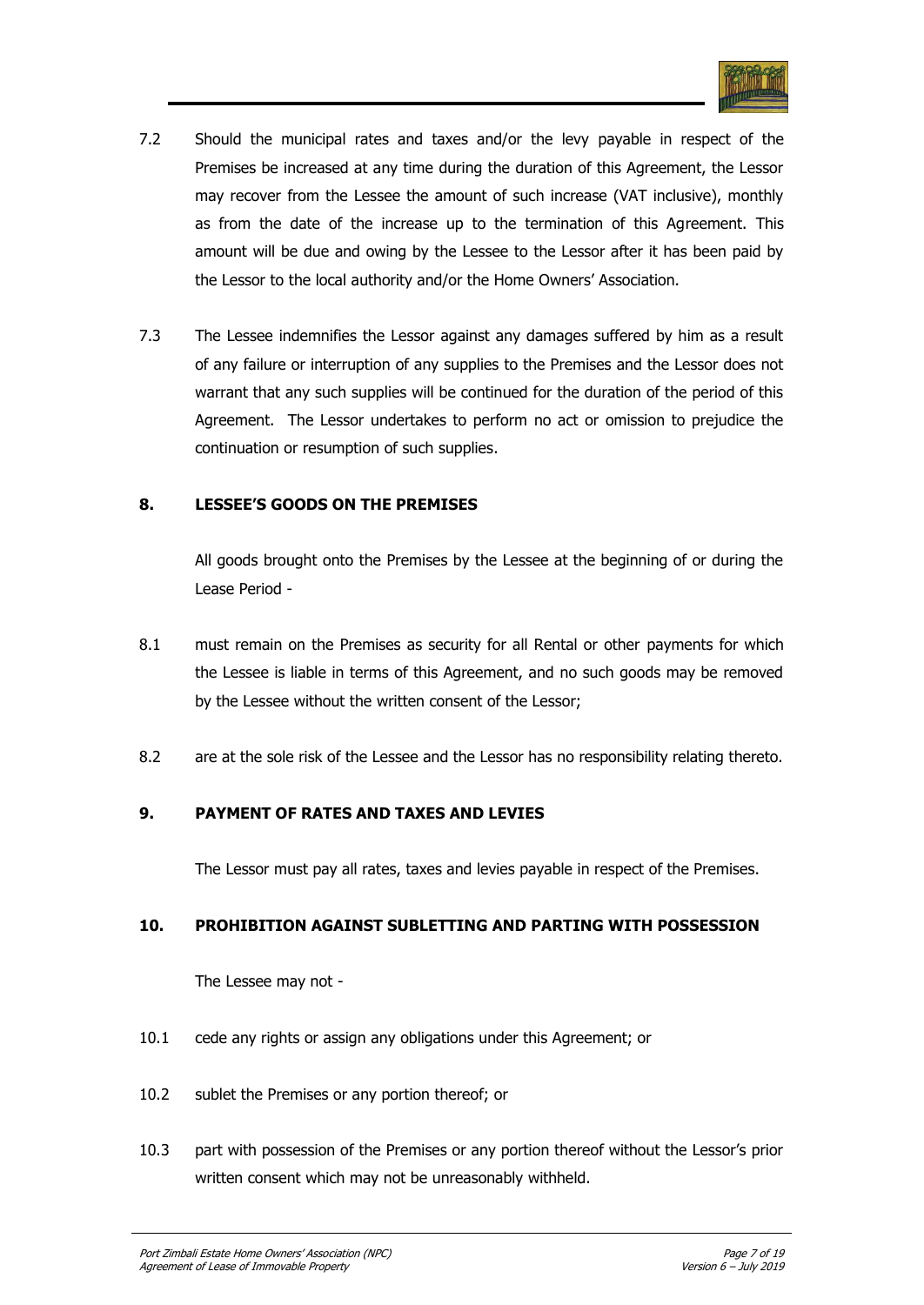

- 7.2 Should the municipal rates and taxes and/or the levy payable in respect of the Premises be increased at any time during the duration of this Agreement, the Lessor may recover from the Lessee the amount of such increase (VAT inclusive), monthly as from the date of the increase up to the termination of this Agreement. This amount will be due and owing by the Lessee to the Lessor after it has been paid by the Lessor to the local authority and/or the Home Owners" Association.
- 7.3 The Lessee indemnifies the Lessor against any damages suffered by him as a result of any failure or interruption of any supplies to the Premises and the Lessor does not warrant that any such supplies will be continued for the duration of the period of this Agreement. The Lessor undertakes to perform no act or omission to prejudice the continuation or resumption of such supplies.

## **8. LESSEE'S GOODS ON THE PREMISES**

All goods brought onto the Premises by the Lessee at the beginning of or during the Lease Period -

- 8.1 must remain on the Premises as security for all Rental or other payments for which the Lessee is liable in terms of this Agreement, and no such goods may be removed by the Lessee without the written consent of the Lessor;
- 8.2 are at the sole risk of the Lessee and the Lessor has no responsibility relating thereto.

## **9. PAYMENT OF RATES AND TAXES AND LEVIES**

The Lessor must pay all rates, taxes and levies payable in respect of the Premises.

## **10. PROHIBITION AGAINST SUBLETTING AND PARTING WITH POSSESSION**

The Lessee may not -

- 10.1 cede any rights or assign any obligations under this Agreement; or
- 10.2 sublet the Premises or any portion thereof; or
- 10.3 part with possession of the Premises or any portion thereof without the Lessor"s prior written consent which may not be unreasonably withheld.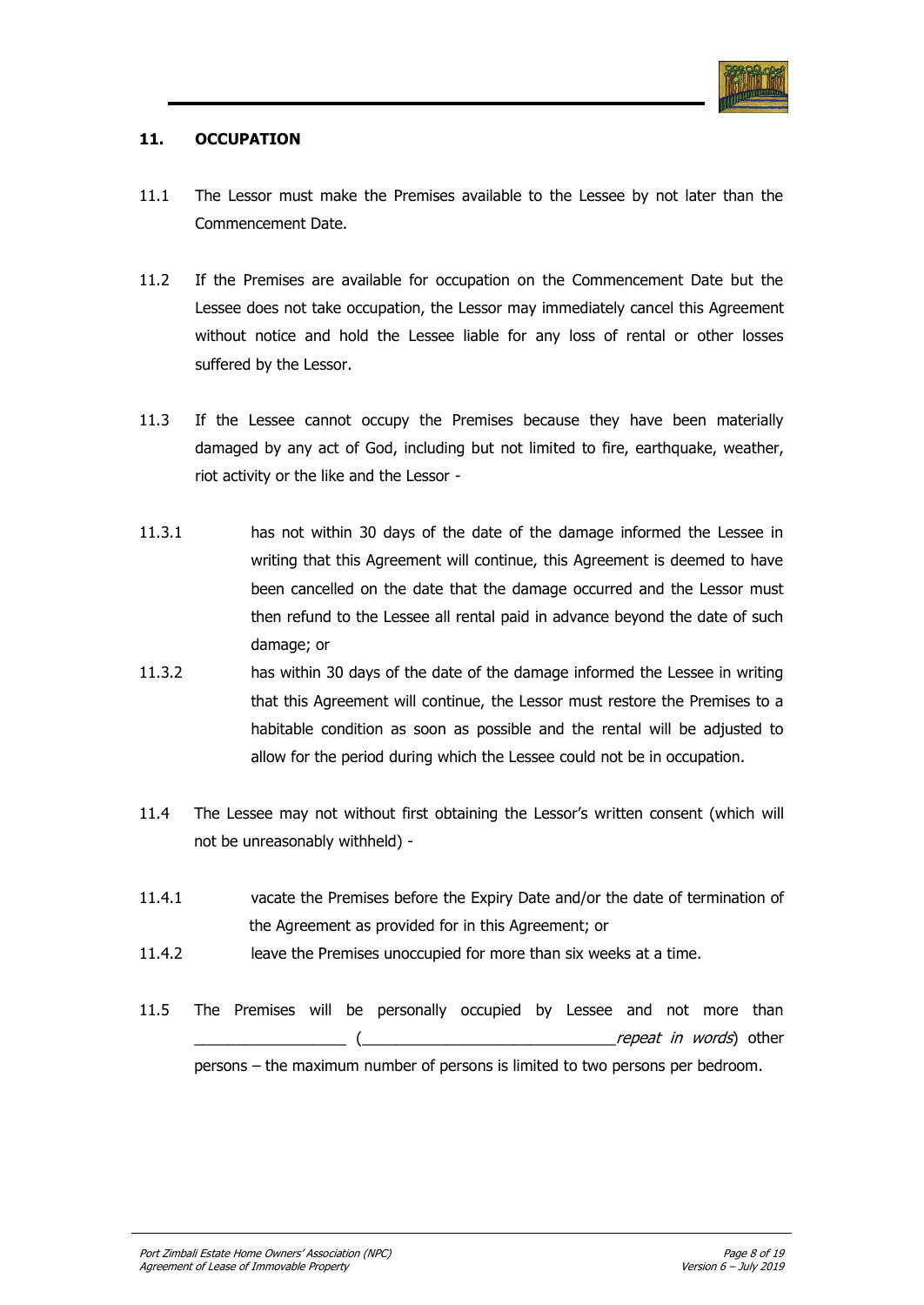

## **11. OCCUPATION**

- 11.1 The Lessor must make the Premises available to the Lessee by not later than the Commencement Date.
- 11.2 If the Premises are available for occupation on the Commencement Date but the Lessee does not take occupation, the Lessor may immediately cancel this Agreement without notice and hold the Lessee liable for any loss of rental or other losses suffered by the Lessor.
- 11.3 If the Lessee cannot occupy the Premises because they have been materially damaged by any act of God, including but not limited to fire, earthquake, weather, riot activity or the like and the Lessor -
- 11.3.1 has not within 30 days of the date of the damage informed the Lessee in writing that this Agreement will continue, this Agreement is deemed to have been cancelled on the date that the damage occurred and the Lessor must then refund to the Lessee all rental paid in advance beyond the date of such damage; or
- 11.3.2 has within 30 days of the date of the damage informed the Lessee in writing that this Agreement will continue, the Lessor must restore the Premises to a habitable condition as soon as possible and the rental will be adjusted to allow for the period during which the Lessee could not be in occupation.
- 11.4 The Lessee may not without first obtaining the Lessor"s written consent (which will not be unreasonably withheld) -
- 11.4.1 vacate the Premises before the Expiry Date and/or the date of termination of the Agreement as provided for in this Agreement; or
- 11.4.2 leave the Premises unoccupied for more than six weeks at a time.
- 11.5 The Premises will be personally occupied by Lessee and not more than repeat in words) other persons – the maximum number of persons is limited to two persons per bedroom.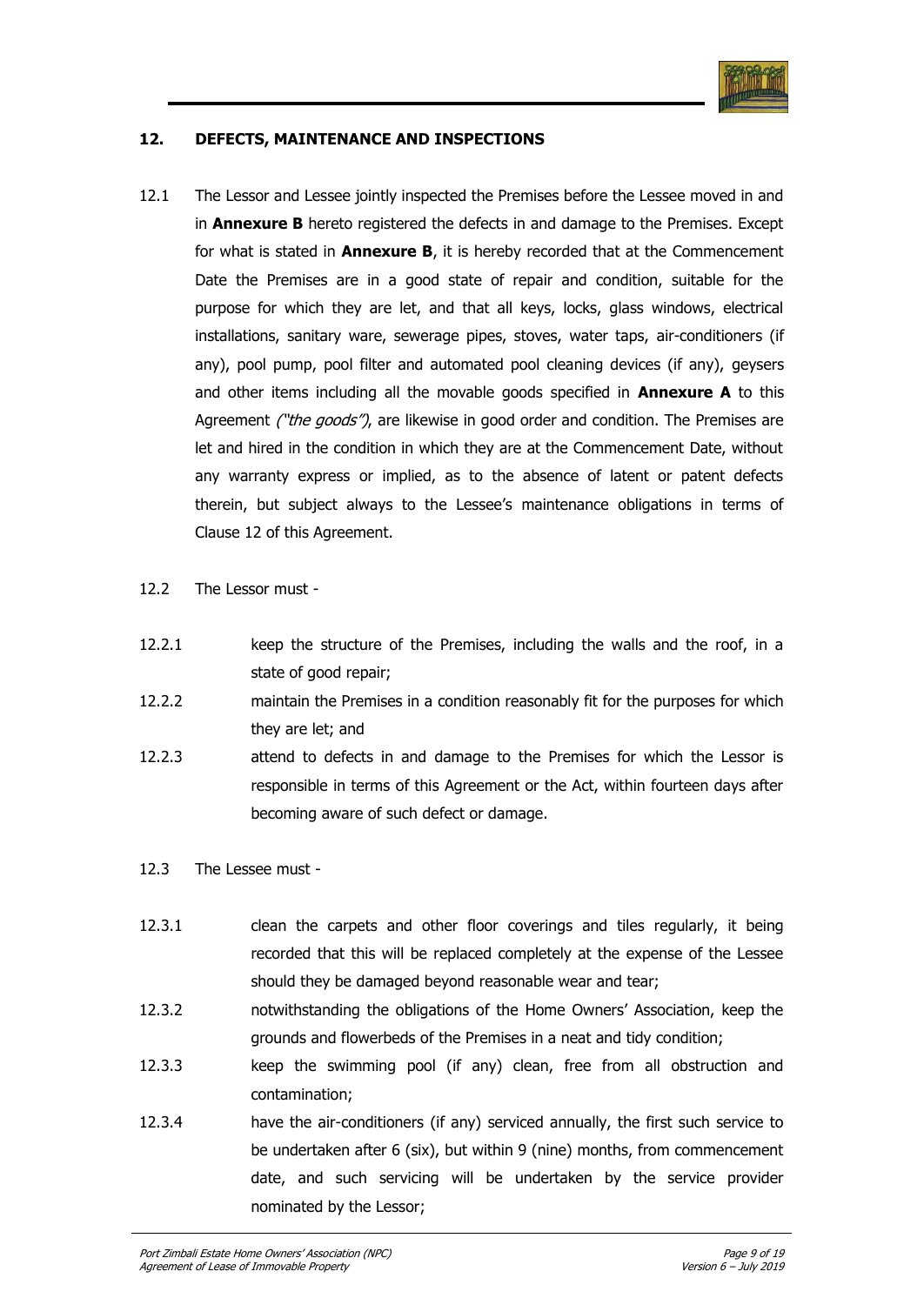

## **12. DEFECTS, MAINTENANCE AND INSPECTIONS**

- 12.1 The Lessor and Lessee jointly inspected the Premises before the Lessee moved in and in **Annexure B** hereto registered the defects in and damage to the Premises. Except for what is stated in **Annexure B**, it is hereby recorded that at the Commencement Date the Premises are in a good state of repair and condition, suitable for the purpose for which they are let, and that all keys, locks, glass windows, electrical installations, sanitary ware, sewerage pipes, stoves, water taps, air-conditioners (if any), pool pump, pool filter and automated pool cleaning devices (if any), geysers and other items including all the movable goods specified in **Annexure A** to this Agreement ("the goods"), are likewise in good order and condition. The Premises are let and hired in the condition in which they are at the Commencement Date, without any warranty express or implied, as to the absence of latent or patent defects therein, but subject always to the Lessee"s maintenance obligations in terms of Clause 12 of this Agreement.
- 12.2 The Lessor must -
- 12.2.1 keep the structure of the Premises, including the walls and the roof, in a state of good repair;
- 12.2.2 maintain the Premises in a condition reasonably fit for the purposes for which they are let; and
- 12.2.3 attend to defects in and damage to the Premises for which the Lessor is responsible in terms of this Agreement or the Act, within fourteen days after becoming aware of such defect or damage.
- 12.3 The Lessee must -
- 12.3.1 clean the carpets and other floor coverings and tiles regularly, it being recorded that this will be replaced completely at the expense of the Lessee should they be damaged beyond reasonable wear and tear;
- 12.3.2 notwithstanding the obligations of the Home Owners" Association, keep the grounds and flowerbeds of the Premises in a neat and tidy condition;
- 12.3.3 keep the swimming pool (if any) clean, free from all obstruction and contamination;
- 12.3.4 have the air-conditioners (if any) serviced annually, the first such service to be undertaken after 6 (six), but within 9 (nine) months, from commencement date, and such servicing will be undertaken by the service provider nominated by the Lessor;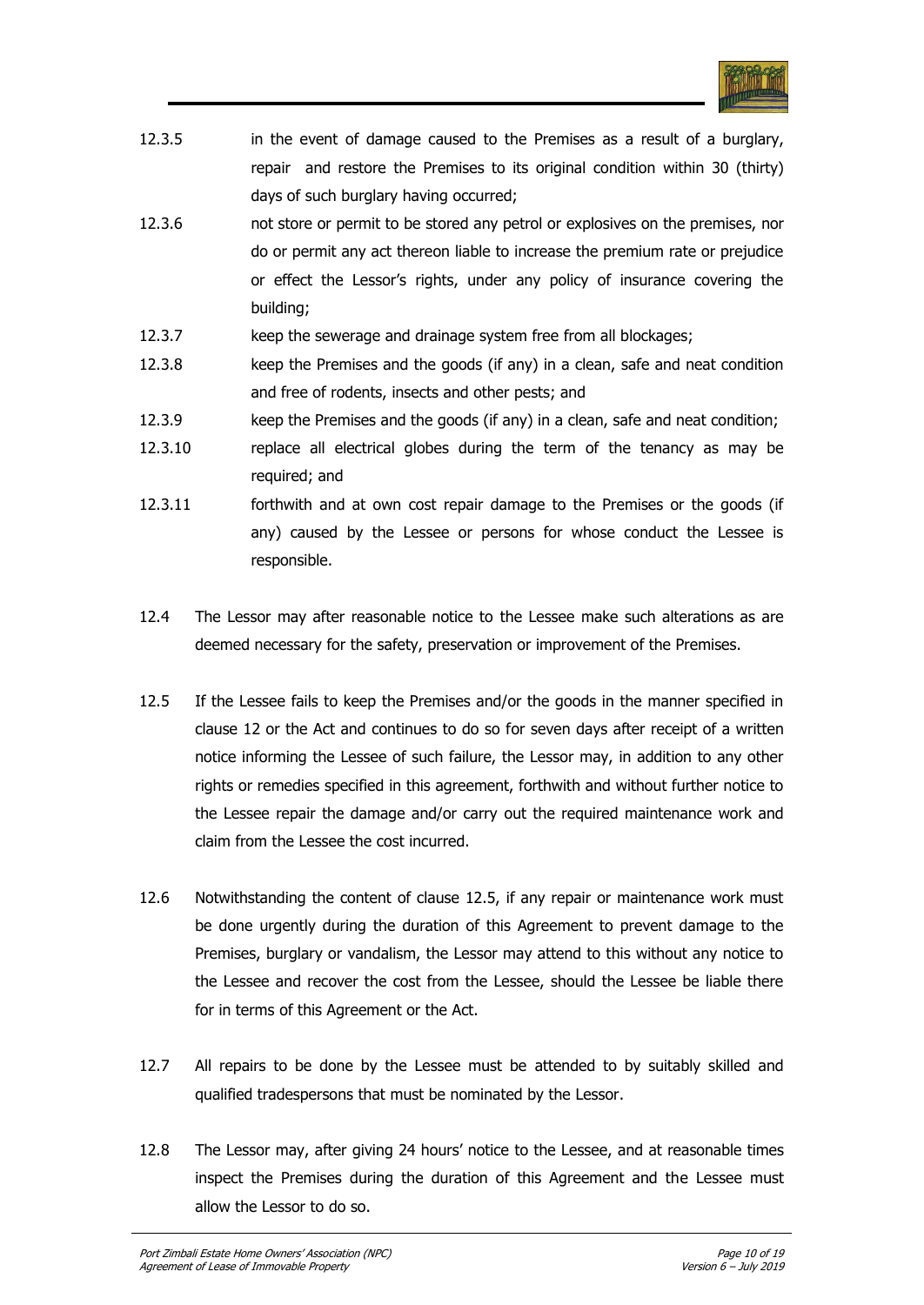

| 12.3.5 | in the event of damage caused to the Premises as a result of a burglary,     |
|--------|------------------------------------------------------------------------------|
|        | repair and restore the Premises to its original condition within 30 (thirty) |
|        | days of such burglary having occurred;                                       |

- 12.3.6 not store or permit to be stored any petrol or explosives on the premises, nor do or permit any act thereon liable to increase the premium rate or prejudice or effect the Lessor"s rights, under any policy of insurance covering the building;
- 12.3.7 keep the sewerage and drainage system free from all blockages;
- 12.3.8 keep the Premises and the goods (if any) in a clean, safe and neat condition and free of rodents, insects and other pests; and
- 12.3.9 keep the Premises and the goods (if any) in a clean, safe and neat condition;
- 12.3.10 replace all electrical globes during the term of the tenancy as may be required; and
- 12.3.11 forthwith and at own cost repair damage to the Premises or the goods (if any) caused by the Lessee or persons for whose conduct the Lessee is responsible.
- 12.4 The Lessor may after reasonable notice to the Lessee make such alterations as are deemed necessary for the safety, preservation or improvement of the Premises.
- 12.5 If the Lessee fails to keep the Premises and/or the goods in the manner specified in clause 12 or the Act and continues to do so for seven days after receipt of a written notice informing the Lessee of such failure, the Lessor may, in addition to any other rights or remedies specified in this agreement, forthwith and without further notice to the Lessee repair the damage and/or carry out the required maintenance work and claim from the Lessee the cost incurred.
- 12.6 Notwithstanding the content of clause 12.5, if any repair or maintenance work must be done urgently during the duration of this Agreement to prevent damage to the Premises, burglary or vandalism, the Lessor may attend to this without any notice to the Lessee and recover the cost from the Lessee, should the Lessee be liable there for in terms of this Agreement or the Act.
- 12.7 All repairs to be done by the Lessee must be attended to by suitably skilled and qualified tradespersons that must be nominated by the Lessor.
- 12.8 The Lessor may, after giving 24 hours' notice to the Lessee, and at reasonable times inspect the Premises during the duration of this Agreement and the Lessee must allow the Lessor to do so.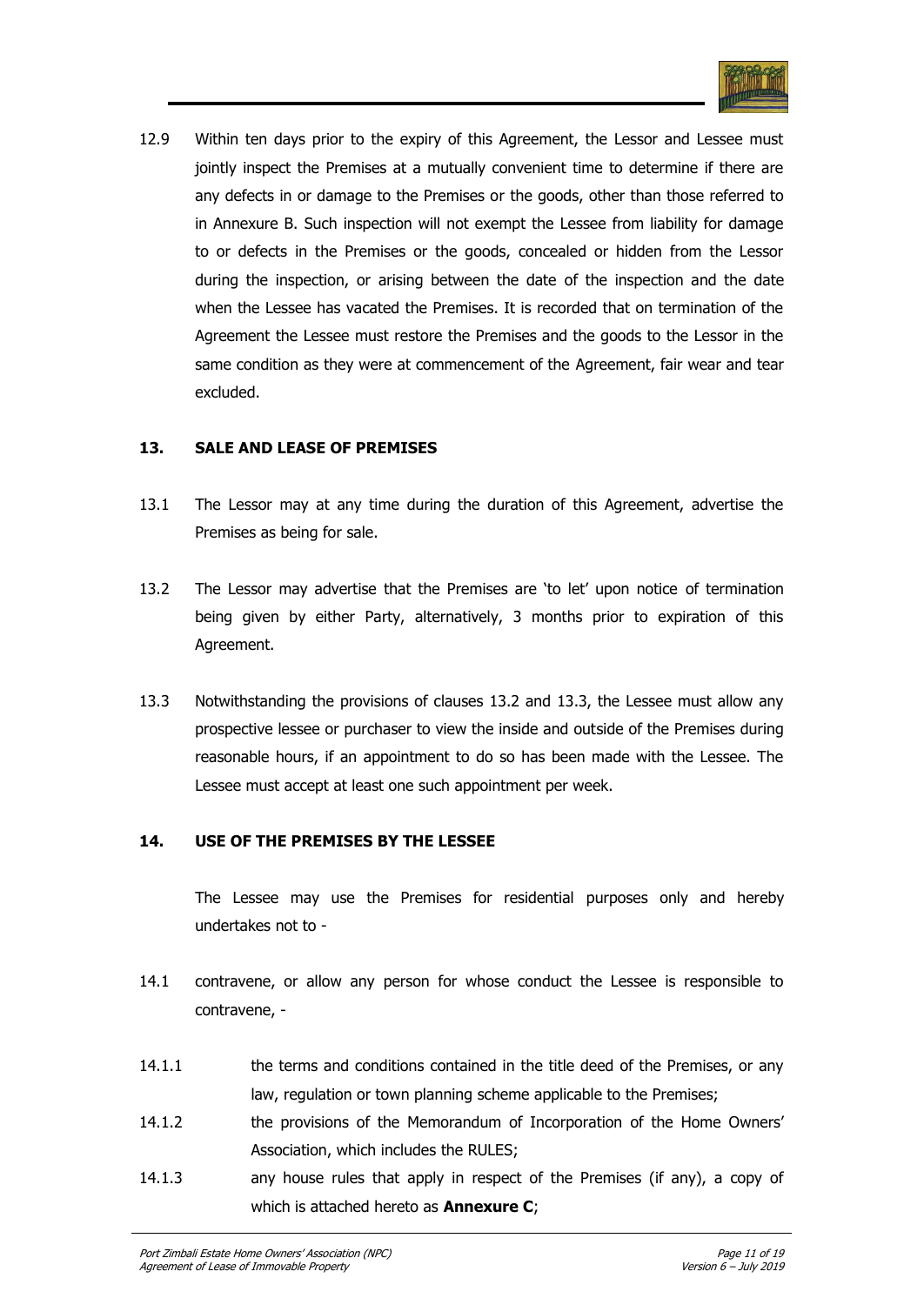

12.9 Within ten days prior to the expiry of this Agreement, the Lessor and Lessee must jointly inspect the Premises at a mutually convenient time to determine if there are any defects in or damage to the Premises or the goods, other than those referred to in Annexure B. Such inspection will not exempt the Lessee from liability for damage to or defects in the Premises or the goods, concealed or hidden from the Lessor during the inspection, or arising between the date of the inspection and the date when the Lessee has vacated the Premises. It is recorded that on termination of the Agreement the Lessee must restore the Premises and the goods to the Lessor in the same condition as they were at commencement of the Agreement, fair wear and tear excluded.

#### **13. SALE AND LEASE OF PREMISES**

- 13.1 The Lessor may at any time during the duration of this Agreement, advertise the Premises as being for sale.
- 13.2 The Lessor may advertise that the Premises are "to let" upon notice of termination being given by either Party, alternatively, 3 months prior to expiration of this Agreement.
- 13.3 Notwithstanding the provisions of clauses 13.2 and 13.3, the Lessee must allow any prospective lessee or purchaser to view the inside and outside of the Premises during reasonable hours, if an appointment to do so has been made with the Lessee. The Lessee must accept at least one such appointment per week.

## **14. USE OF THE PREMISES BY THE LESSEE**

The Lessee may use the Premises for residential purposes only and hereby undertakes not to -

- 14.1 contravene, or allow any person for whose conduct the Lessee is responsible to contravene, -
- 14.1.1 the terms and conditions contained in the title deed of the Premises, or any law, regulation or town planning scheme applicable to the Premises;
- 14.1.2 the provisions of the Memorandum of Incorporation of the Home Owners' Association, which includes the RULES;
- 14.1.3 any house rules that apply in respect of the Premises (if any), a copy of which is attached hereto as **Annexure C**;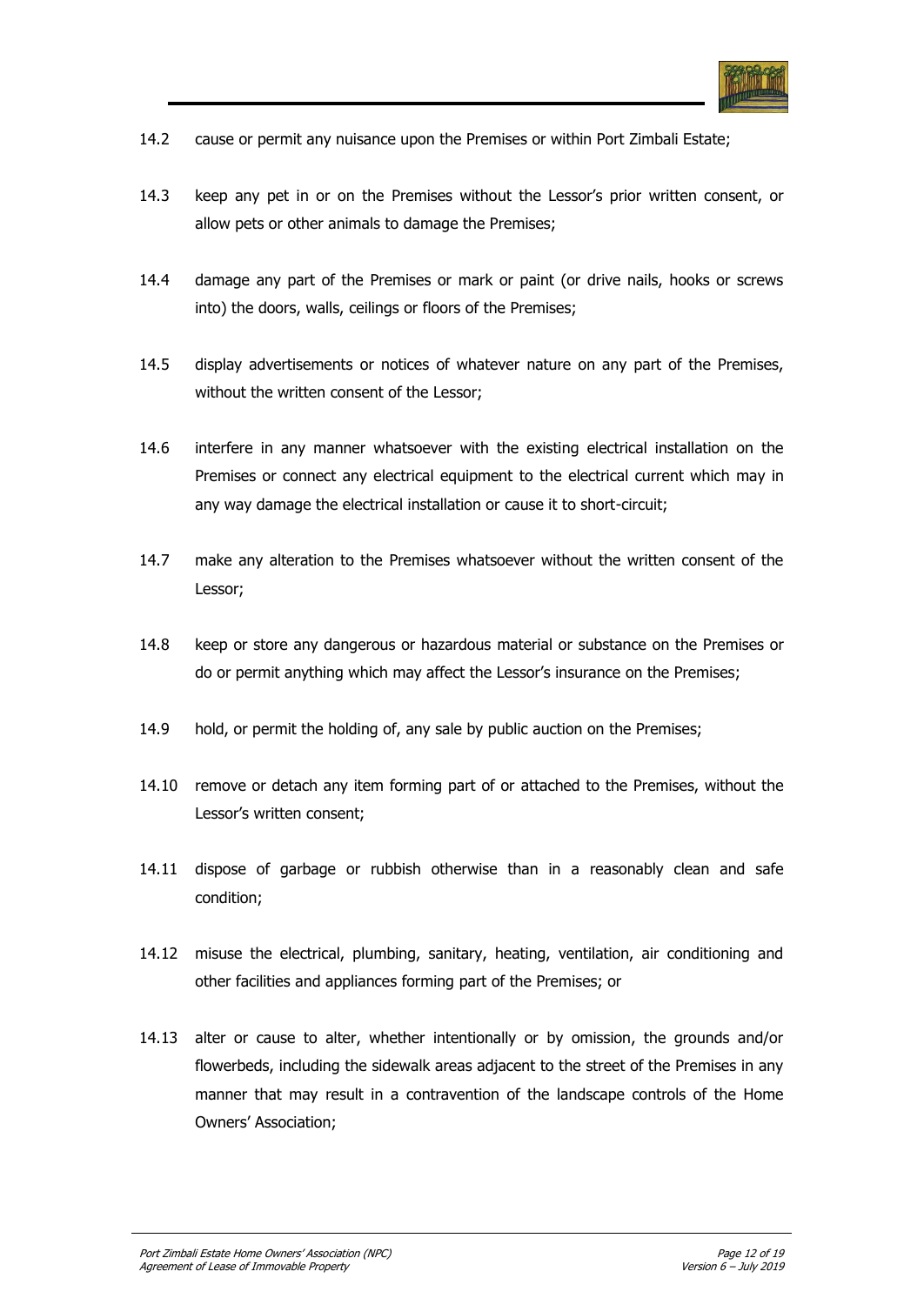

- 14.2 cause or permit any nuisance upon the Premises or within Port Zimbali Estate;
- 14.3 keep any pet in or on the Premises without the Lessor"s prior written consent, or allow pets or other animals to damage the Premises;
- 14.4 damage any part of the Premises or mark or paint (or drive nails, hooks or screws into) the doors, walls, ceilings or floors of the Premises;
- 14.5 display advertisements or notices of whatever nature on any part of the Premises, without the written consent of the Lessor;
- 14.6 interfere in any manner whatsoever with the existing electrical installation on the Premises or connect any electrical equipment to the electrical current which may in any way damage the electrical installation or cause it to short-circuit;
- 14.7 make any alteration to the Premises whatsoever without the written consent of the Lessor;
- 14.8 keep or store any dangerous or hazardous material or substance on the Premises or do or permit anything which may affect the Lessor's insurance on the Premises;
- 14.9 hold, or permit the holding of, any sale by public auction on the Premises;
- 14.10 remove or detach any item forming part of or attached to the Premises, without the Lessor's written consent:
- 14.11 dispose of garbage or rubbish otherwise than in a reasonably clean and safe condition;
- 14.12 misuse the electrical, plumbing, sanitary, heating, ventilation, air conditioning and other facilities and appliances forming part of the Premises; or
- 14.13 alter or cause to alter, whether intentionally or by omission, the grounds and/or flowerbeds, including the sidewalk areas adjacent to the street of the Premises in any manner that may result in a contravention of the landscape controls of the Home Owners" Association;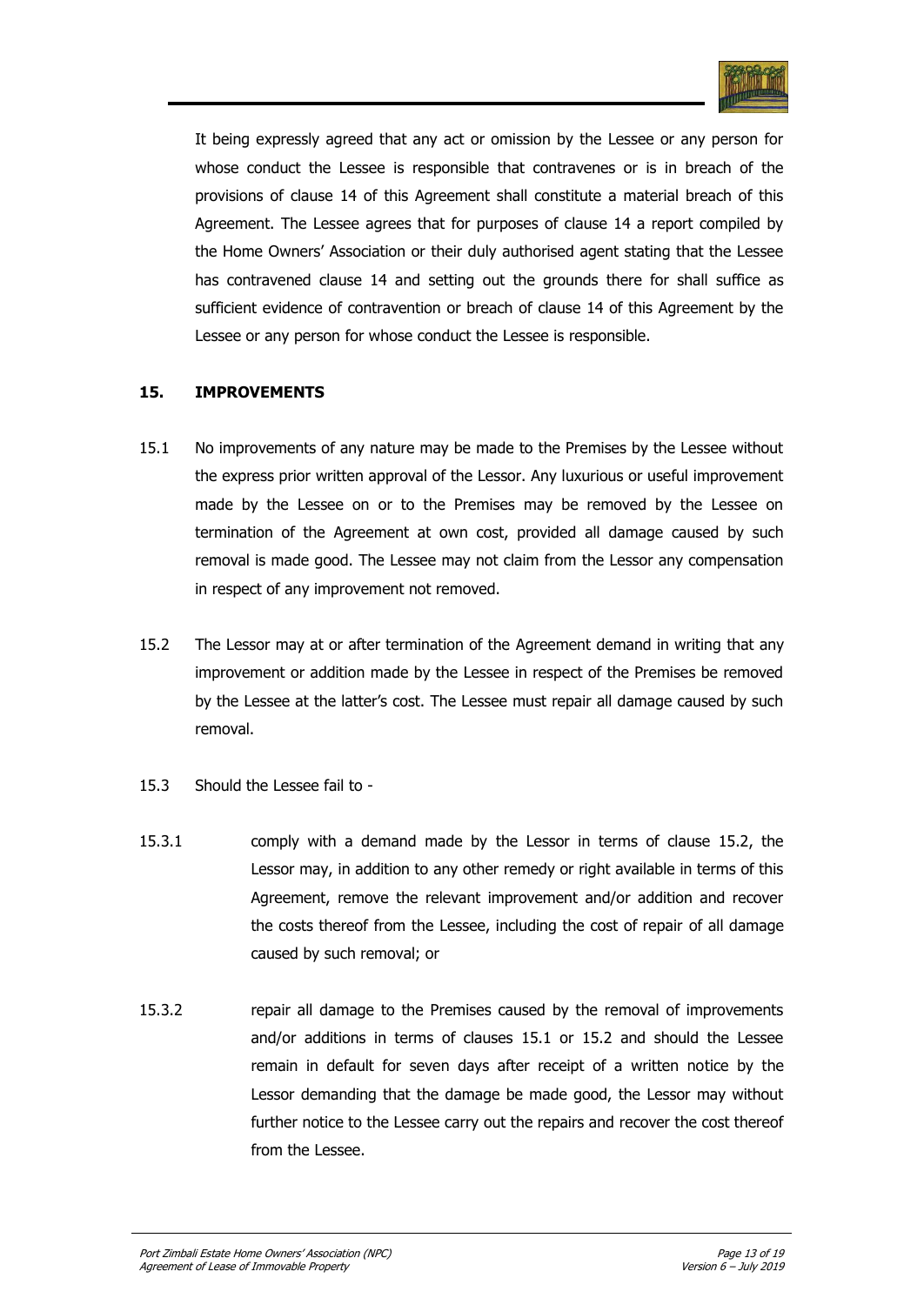

It being expressly agreed that any act or omission by the Lessee or any person for whose conduct the Lessee is responsible that contravenes or is in breach of the provisions of clause 14 of this Agreement shall constitute a material breach of this Agreement. The Lessee agrees that for purposes of clause 14 a report compiled by the Home Owners" Association or their duly authorised agent stating that the Lessee has contravened clause 14 and setting out the grounds there for shall suffice as sufficient evidence of contravention or breach of clause 14 of this Agreement by the Lessee or any person for whose conduct the Lessee is responsible.

## **15. IMPROVEMENTS**

- 15.1 No improvements of any nature may be made to the Premises by the Lessee without the express prior written approval of the Lessor. Any luxurious or useful improvement made by the Lessee on or to the Premises may be removed by the Lessee on termination of the Agreement at own cost, provided all damage caused by such removal is made good. The Lessee may not claim from the Lessor any compensation in respect of any improvement not removed.
- 15.2 The Lessor may at or after termination of the Agreement demand in writing that any improvement or addition made by the Lessee in respect of the Premises be removed by the Lessee at the latter"s cost. The Lessee must repair all damage caused by such removal.
- 15.3 Should the Lessee fail to -
- 15.3.1 comply with a demand made by the Lessor in terms of clause 15.2, the Lessor may, in addition to any other remedy or right available in terms of this Agreement, remove the relevant improvement and/or addition and recover the costs thereof from the Lessee, including the cost of repair of all damage caused by such removal; or
- 15.3.2 repair all damage to the Premises caused by the removal of improvements and/or additions in terms of clauses 15.1 or 15.2 and should the Lessee remain in default for seven days after receipt of a written notice by the Lessor demanding that the damage be made good, the Lessor may without further notice to the Lessee carry out the repairs and recover the cost thereof from the Lessee.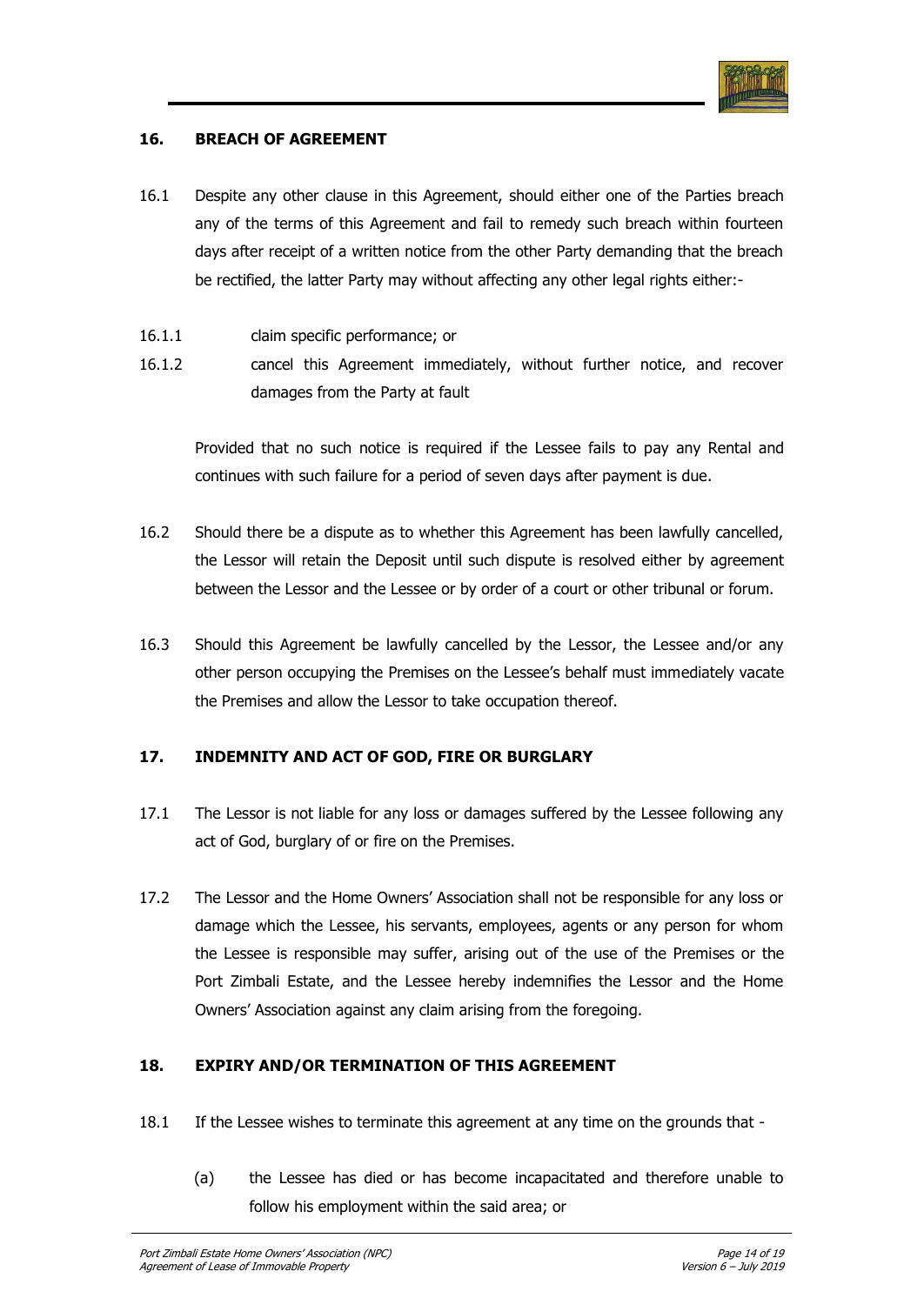

## **16. BREACH OF AGREEMENT**

- 16.1 Despite any other clause in this Agreement, should either one of the Parties breach any of the terms of this Agreement and fail to remedy such breach within fourteen days after receipt of a written notice from the other Party demanding that the breach be rectified, the latter Party may without affecting any other legal rights either:-
- 16.1.1 claim specific performance; or
- 16.1.2 cancel this Agreement immediately, without further notice, and recover damages from the Party at fault

Provided that no such notice is required if the Lessee fails to pay any Rental and continues with such failure for a period of seven days after payment is due.

- 16.2 Should there be a dispute as to whether this Agreement has been lawfully cancelled, the Lessor will retain the Deposit until such dispute is resolved either by agreement between the Lessor and the Lessee or by order of a court or other tribunal or forum.
- 16.3 Should this Agreement be lawfully cancelled by the Lessor, the Lessee and/or any other person occupying the Premises on the Lessee"s behalf must immediately vacate the Premises and allow the Lessor to take occupation thereof.

## **17. INDEMNITY AND ACT OF GOD, FIRE OR BURGLARY**

- 17.1 The Lessor is not liable for any loss or damages suffered by the Lessee following any act of God, burglary of or fire on the Premises.
- 17.2 The Lessor and the Home Owners" Association shall not be responsible for any loss or damage which the Lessee, his servants, employees, agents or any person for whom the Lessee is responsible may suffer, arising out of the use of the Premises or the Port Zimbali Estate, and the Lessee hereby indemnifies the Lessor and the Home Owners" Association against any claim arising from the foregoing.

## **18. EXPIRY AND/OR TERMINATION OF THIS AGREEMENT**

- 18.1 If the Lessee wishes to terminate this agreement at any time on the grounds that
	- (a) the Lessee has died or has become incapacitated and therefore unable to follow his employment within the said area; or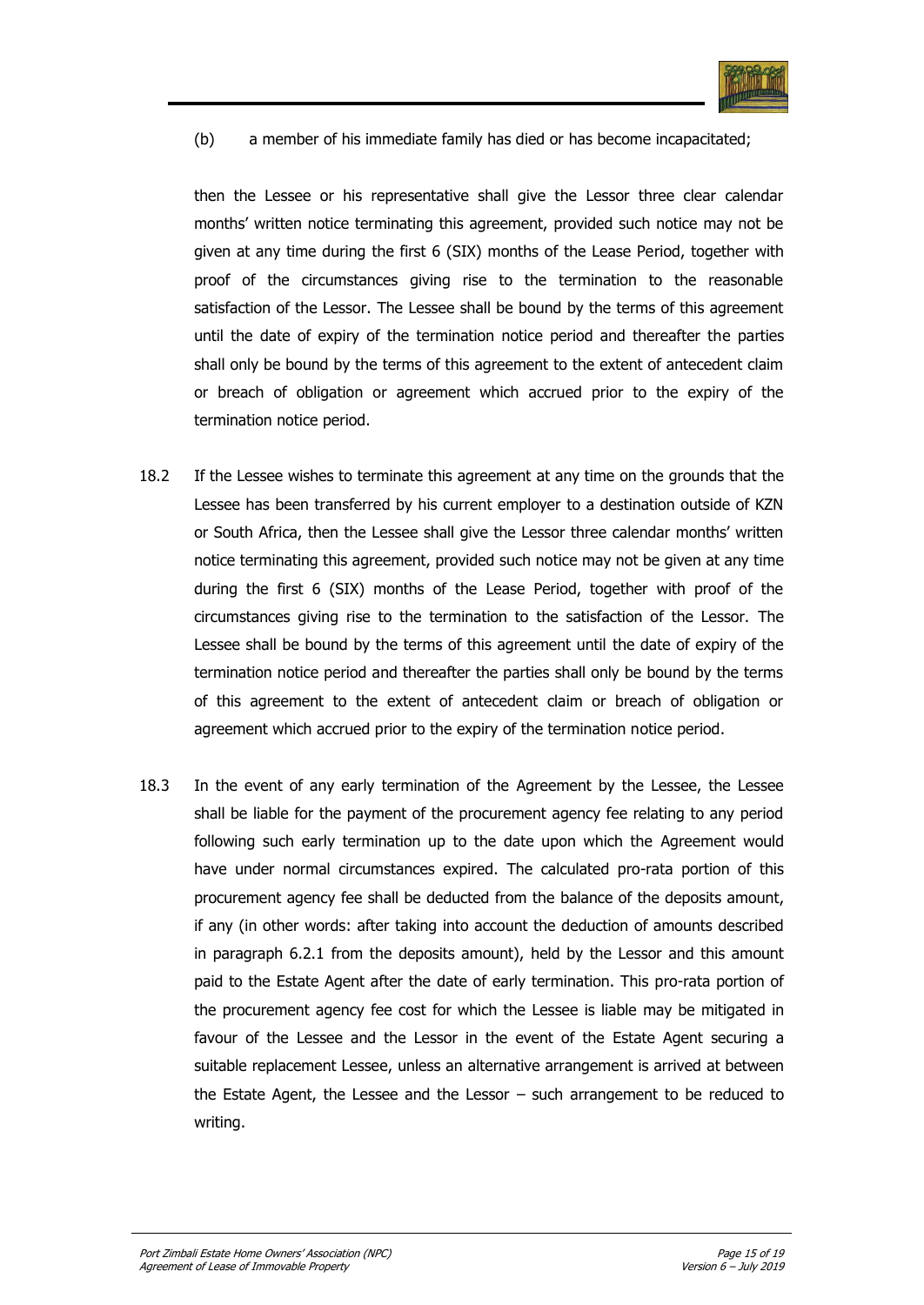

(b) a member of his immediate family has died or has become incapacitated;

then the Lessee or his representative shall give the Lessor three clear calendar months" written notice terminating this agreement, provided such notice may not be given at any time during the first 6 (SIX) months of the Lease Period, together with proof of the circumstances giving rise to the termination to the reasonable satisfaction of the Lessor. The Lessee shall be bound by the terms of this agreement until the date of expiry of the termination notice period and thereafter the parties shall only be bound by the terms of this agreement to the extent of antecedent claim or breach of obligation or agreement which accrued prior to the expiry of the termination notice period.

- 18.2 If the Lessee wishes to terminate this agreement at any time on the grounds that the Lessee has been transferred by his current employer to a destination outside of KZN or South Africa, then the Lessee shall give the Lessor three calendar months" written notice terminating this agreement, provided such notice may not be given at any time during the first 6 (SIX) months of the Lease Period, together with proof of the circumstances giving rise to the termination to the satisfaction of the Lessor. The Lessee shall be bound by the terms of this agreement until the date of expiry of the termination notice period and thereafter the parties shall only be bound by the terms of this agreement to the extent of antecedent claim or breach of obligation or agreement which accrued prior to the expiry of the termination notice period.
- 18.3 In the event of any early termination of the Agreement by the Lessee, the Lessee shall be liable for the payment of the procurement agency fee relating to any period following such early termination up to the date upon which the Agreement would have under normal circumstances expired. The calculated pro-rata portion of this procurement agency fee shall be deducted from the balance of the deposits amount, if any (in other words: after taking into account the deduction of amounts described in paragraph 6.2.1 from the deposits amount), held by the Lessor and this amount paid to the Estate Agent after the date of early termination. This pro-rata portion of the procurement agency fee cost for which the Lessee is liable may be mitigated in favour of the Lessee and the Lessor in the event of the Estate Agent securing a suitable replacement Lessee, unless an alternative arrangement is arrived at between the Estate Agent, the Lessee and the Lessor – such arrangement to be reduced to writing.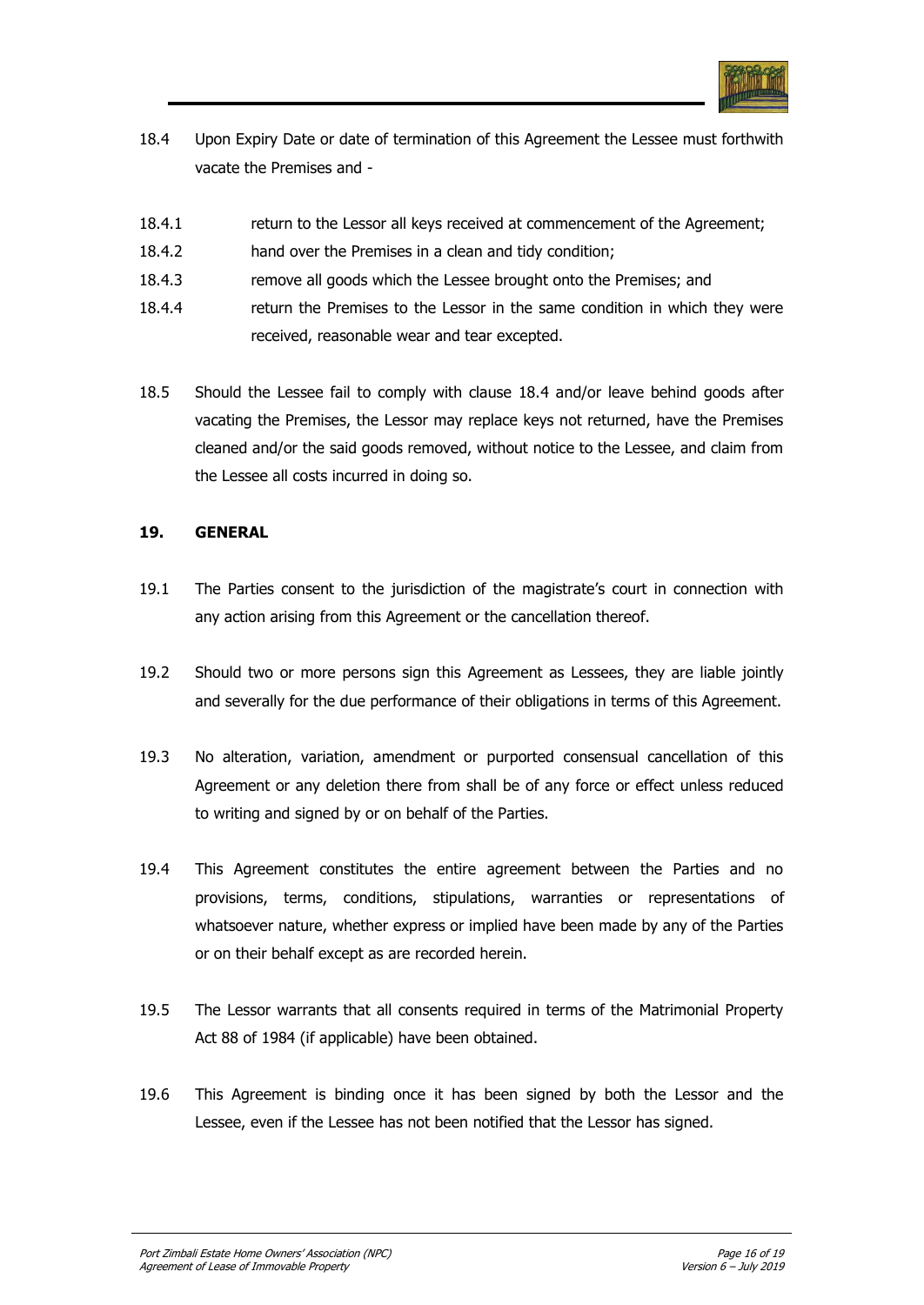

- 18.4 Upon Expiry Date or date of termination of this Agreement the Lessee must forthwith vacate the Premises and -
- 18.4.1 return to the Lessor all keys received at commencement of the Agreement;
- 18.4.2 hand over the Premises in a clean and tidy condition;
- 18.4.3 remove all goods which the Lessee brought onto the Premises; and
- 18.4.4 return the Premises to the Lessor in the same condition in which they were received, reasonable wear and tear excepted.
- 18.5 Should the Lessee fail to comply with clause 18.4 and/or leave behind goods after vacating the Premises, the Lessor may replace keys not returned, have the Premises cleaned and/or the said goods removed, without notice to the Lessee, and claim from the Lessee all costs incurred in doing so.

## **19. GENERAL**

- 19.1 The Parties consent to the jurisdiction of the magistrate"s court in connection with any action arising from this Agreement or the cancellation thereof.
- 19.2 Should two or more persons sign this Agreement as Lessees, they are liable jointly and severally for the due performance of their obligations in terms of this Agreement.
- 19.3 No alteration, variation, amendment or purported consensual cancellation of this Agreement or any deletion there from shall be of any force or effect unless reduced to writing and signed by or on behalf of the Parties.
- 19.4 This Agreement constitutes the entire agreement between the Parties and no provisions, terms, conditions, stipulations, warranties or representations of whatsoever nature, whether express or implied have been made by any of the Parties or on their behalf except as are recorded herein.
- 19.5 The Lessor warrants that all consents required in terms of the Matrimonial Property Act 88 of 1984 (if applicable) have been obtained.
- 19.6 This Agreement is binding once it has been signed by both the Lessor and the Lessee, even if the Lessee has not been notified that the Lessor has signed.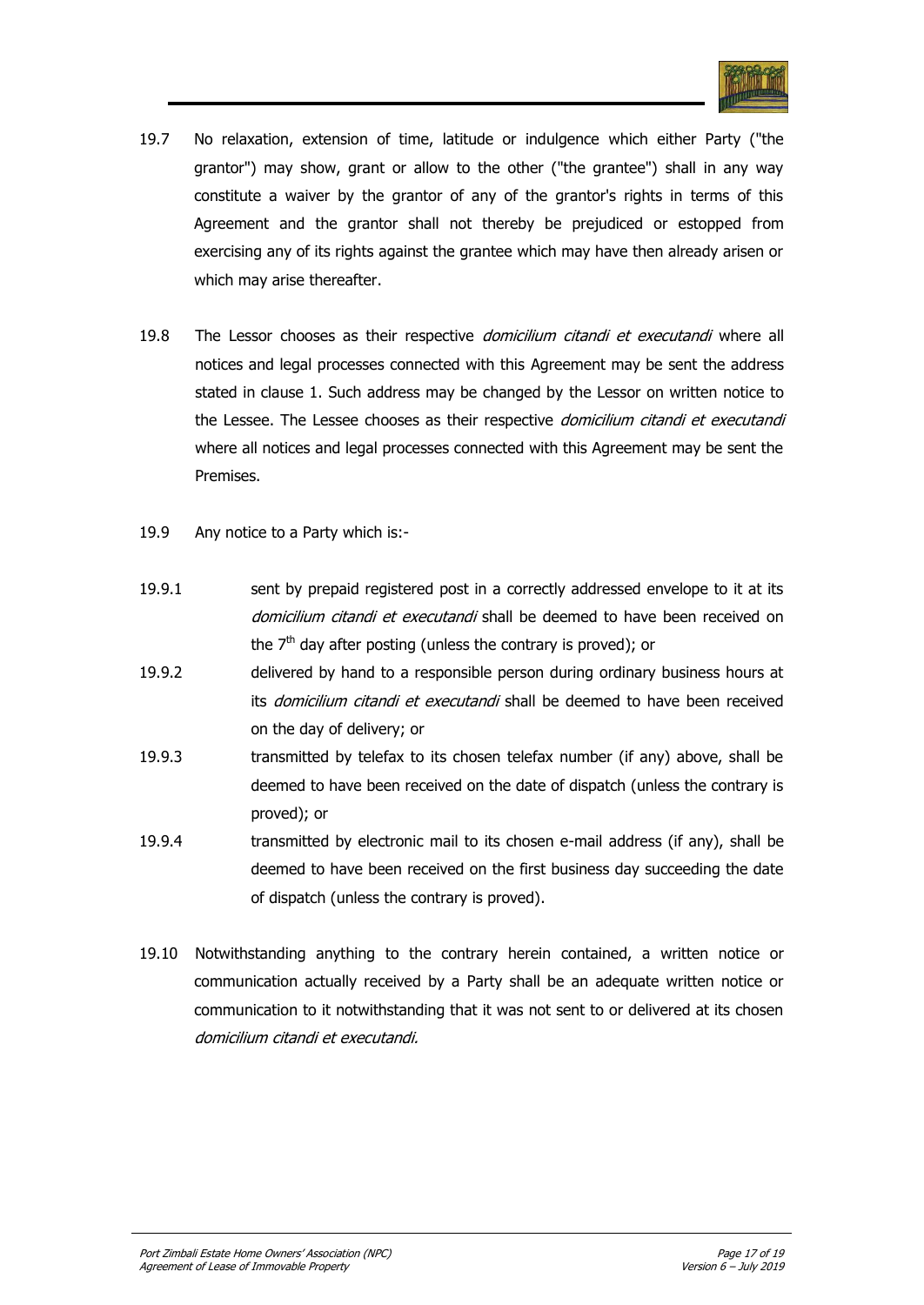

- 19.7 No relaxation, extension of time, latitude or indulgence which either Party ("the grantor") may show, grant or allow to the other ("the grantee") shall in any way constitute a waiver by the grantor of any of the grantor's rights in terms of this Agreement and the grantor shall not thereby be prejudiced or estopped from exercising any of its rights against the grantee which may have then already arisen or which may arise thereafter.
- 19.8 The Lessor chooses as their respective *domicilium citandi et executandi* where all notices and legal processes connected with this Agreement may be sent the address stated in clause 1. Such address may be changed by the Lessor on written notice to the Lessee. The Lessee chooses as their respective *domicilium citandi et executandi* where all notices and legal processes connected with this Agreement may be sent the Premises.
- 19.9 Any notice to a Party which is:-
- 19.9.1 sent by prepaid registered post in a correctly addressed envelope to it at its domicilium citandi et executandi shall be deemed to have been received on the  $7<sup>th</sup>$  day after posting (unless the contrary is proved); or
- 19.9.2 delivered by hand to a responsible person during ordinary business hours at its domicilium citandi et executandi shall be deemed to have been received on the day of delivery; or
- 19.9.3 transmitted by telefax to its chosen telefax number (if any) above, shall be deemed to have been received on the date of dispatch (unless the contrary is proved); or
- 19.9.4 transmitted by electronic mail to its chosen e-mail address (if any), shall be deemed to have been received on the first business day succeeding the date of dispatch (unless the contrary is proved).
- 19.10 Notwithstanding anything to the contrary herein contained, a written notice or communication actually received by a Party shall be an adequate written notice or communication to it notwithstanding that it was not sent to or delivered at its chosen domicilium citandi et executandi.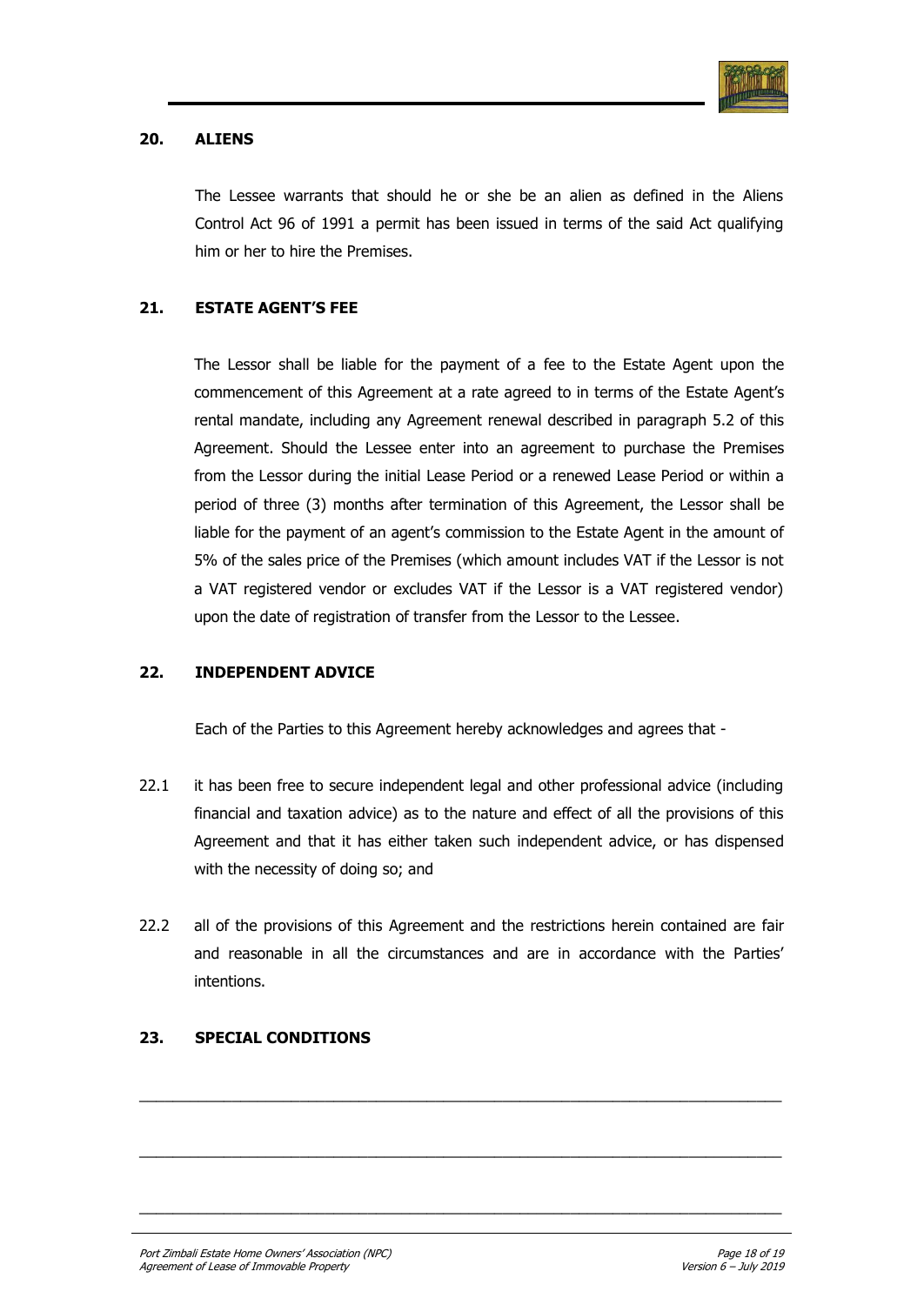

## **20. ALIENS**

The Lessee warrants that should he or she be an alien as defined in the Aliens Control Act 96 of 1991 a permit has been issued in terms of the said Act qualifying him or her to hire the Premises.

## **21. ESTATE AGENT'S FEE**

The Lessor shall be liable for the payment of a fee to the Estate Agent upon the commencement of this Agreement at a rate agreed to in terms of the Estate Agent"s rental mandate, including any Agreement renewal described in paragraph 5.2 of this Agreement. Should the Lessee enter into an agreement to purchase the Premises from the Lessor during the initial Lease Period or a renewed Lease Period or within a period of three (3) months after termination of this Agreement, the Lessor shall be liable for the payment of an agent's commission to the Estate Agent in the amount of 5% of the sales price of the Premises (which amount includes VAT if the Lessor is not a VAT registered vendor or excludes VAT if the Lessor is a VAT registered vendor) upon the date of registration of transfer from the Lessor to the Lessee.

## **22. INDEPENDENT ADVICE**

Each of the Parties to this Agreement hereby acknowledges and agrees that -

- 22.1 it has been free to secure independent legal and other professional advice (including financial and taxation advice) as to the nature and effect of all the provisions of this Agreement and that it has either taken such independent advice, or has dispensed with the necessity of doing so; and
- 22.2 all of the provisions of this Agreement and the restrictions herein contained are fair and reasonable in all the circumstances and are in accordance with the Parties" intentions.

 $\_$  ,  $\_$  ,  $\_$  ,  $\_$  ,  $\_$  ,  $\_$  ,  $\_$  ,  $\_$  ,  $\_$  ,  $\_$  ,  $\_$  ,  $\_$  ,  $\_$  ,  $\_$  ,  $\_$  ,  $\_$  ,  $\_$  ,  $\_$  ,  $\_$  ,  $\_$ 

 $\_$  ,  $\_$  ,  $\_$  ,  $\_$  ,  $\_$  ,  $\_$  ,  $\_$  ,  $\_$  ,  $\_$  ,  $\_$  ,  $\_$  ,  $\_$  ,  $\_$  ,  $\_$  ,  $\_$  ,  $\_$  ,  $\_$  ,  $\_$  ,  $\_$  ,  $\_$ 

 $\_$  ,  $\_$  ,  $\_$  ,  $\_$  ,  $\_$  ,  $\_$  ,  $\_$  ,  $\_$  ,  $\_$  ,  $\_$  ,  $\_$  ,  $\_$  ,  $\_$  ,  $\_$  ,  $\_$  ,  $\_$  ,  $\_$  ,  $\_$  ,  $\_$  ,  $\_$ 

## **23. SPECIAL CONDITIONS**